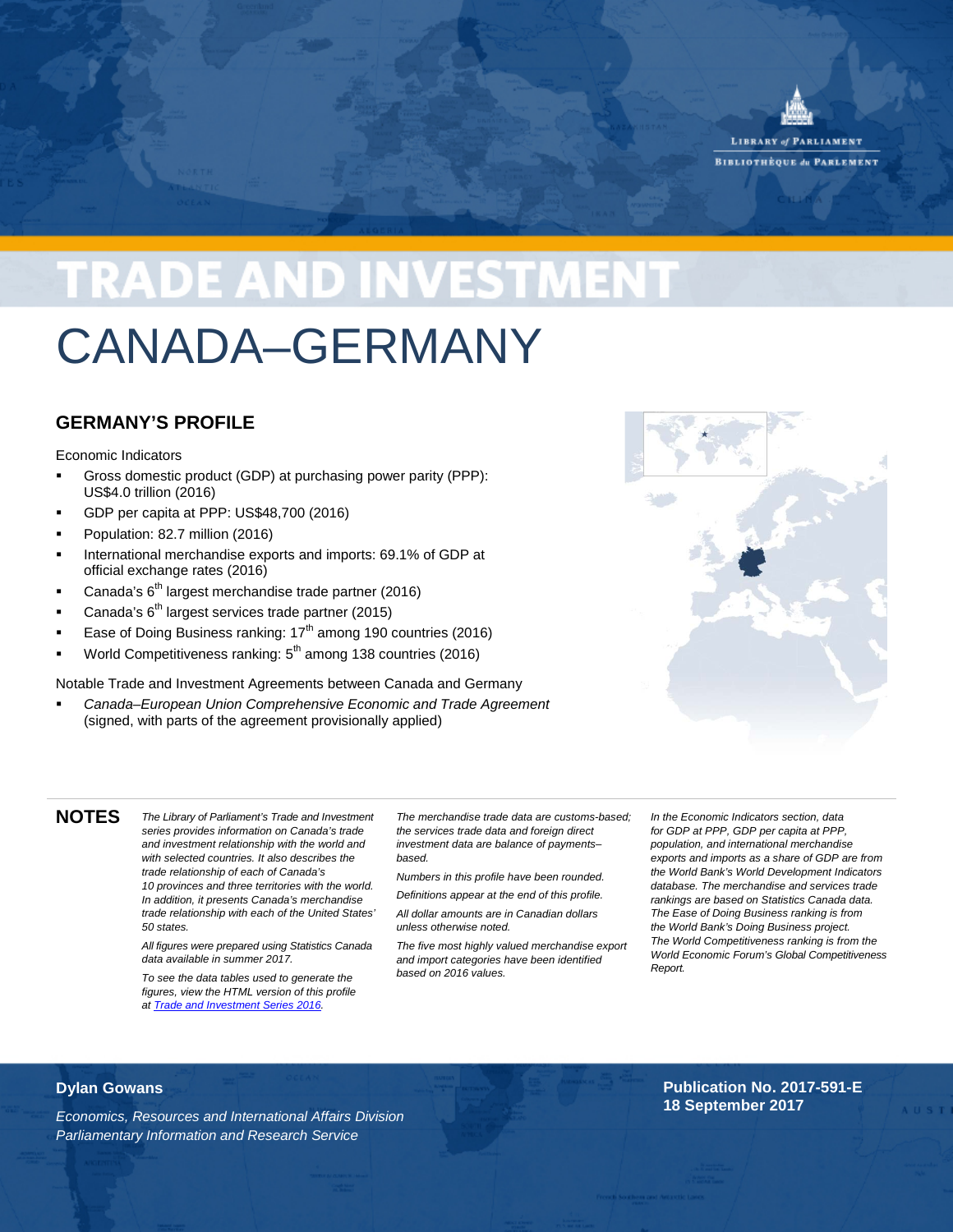

**BIBLIOTHEOUE du PARLEMENT** 

# **TRADE AND INVESTMENT**

## CANADA–GERMANY

## **GERMANY'S PROFILE**

Economic Indicators

- Gross domestic product (GDP) at purchasing power parity (PPP): US\$4.0 trillion (2016)
- GDP per capita at PPP: US\$48,700 (2016)
- Population: 82.7 million (2016)
- International merchandise exports and imports: 69.1% of GDP at official exchange rates (2016)
- Canada's 6<sup>th</sup> largest merchandise trade partner (2016)
- Canada's  $6<sup>th</sup>$  largest services trade partner (2015)
- Ease of Doing Business ranking:  $17<sup>th</sup>$  among 190 countries (2016)
- World Competitiveness ranking:  $5<sup>th</sup>$  among 138 countries (2016)

Notable Trade and Investment Agreements between Canada and Germany

 *Canada–European Union Comprehensive Economic and Trade Agreement* (signed, with parts of the agreement provisionally applied)



**NOTES** *The Library of Parliament's Trade and Investment series provides information on Canada's trade and investment relationship with the world and with selected countries. It also describes the trade relationship of each of Canada's 10 provinces and three territories with the world. In addition, it presents Canada's merchandise trade relationship with each of the United States' 50 states.*

> *All figures were prepared using Statistics Canada data available in summer 2017.*

*To see the data tables used to generate the figures, view the HTML version of this profile at [Trade and Investment Series 2016.](http://www.parl.gc.ca/Content/LOP/ResearchPublications/toctrade-e.htm)*

*The merchandise trade data are customs-based; the services trade data and foreign direct investment data are balance of payments– based.*

*Numbers in this profile have been rounded. Definitions appear at the end of this profile. All dollar amounts are in Canadian dollars unless otherwise noted.* 

*The five most highly valued merchandise export and import categories have been identified based on 2016 values.*

*In the Economic Indicators section, data for GDP at PPP, GDP per capita at PPP, population, and international merchandise exports and imports as a share of GDP are from the World Bank's World Development Indicators database. The merchandise and services trade rankings are based on Statistics Canada data. The Ease of Doing Business ranking is from the World Bank's Doing Business project. The World Competitiveness ranking is from the World Economic Forum's Global Competitiveness Report.*

### **Dylan Gowans**

*Economics, Resources and International Affairs Division Parliamentary Information and Research Service*

### **Publication No. 2017-591-E 18 September 2017**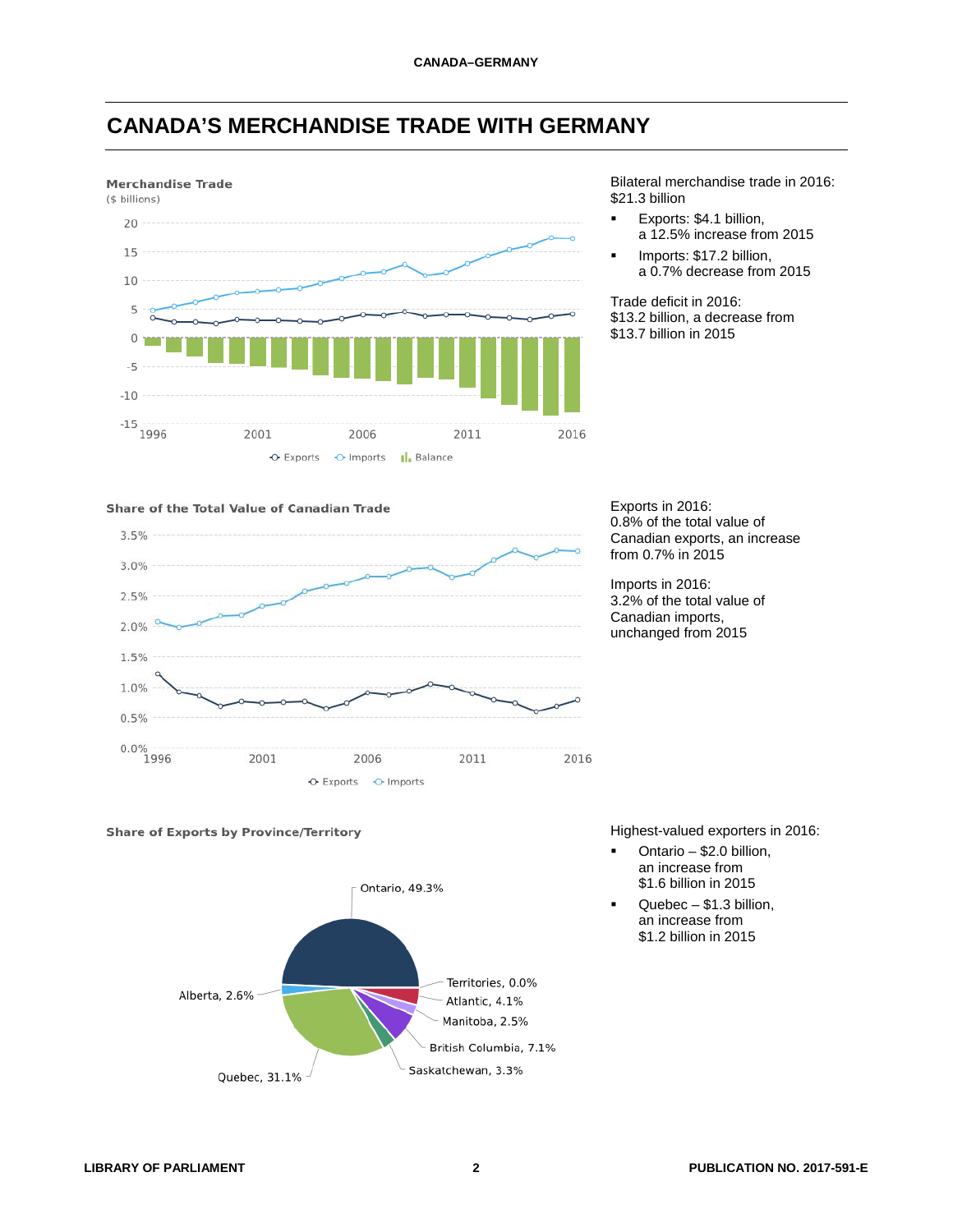## **CANADA'S MERCHANDISE TRADE WITH GERMANY**



Bilateral merchandise trade in 2016: \$21.3 billion

- Exports: \$4.1 billion, a 12.5% increase from 2015
- Imports: \$17.2 billion, a 0.7% decrease from 2015

Trade deficit in 2016: \$13.2 billion, a decrease from \$13.7 billion in 2015

#### Share of the Total Value of Canadian Trade



Exports in 2016: 0.8% of the total value of Canadian exports, an increase from 0.7% in 2015

Imports in 2016: 3.2% of the total value of Canadian imports, unchanged from 2015





Highest-valued exporters in 2016:

- Ontario \$2.0 billion, an increase from \$1.6 billion in 2015
- Quebec \$1.3 billion, an increase from \$1.2 billion in 2015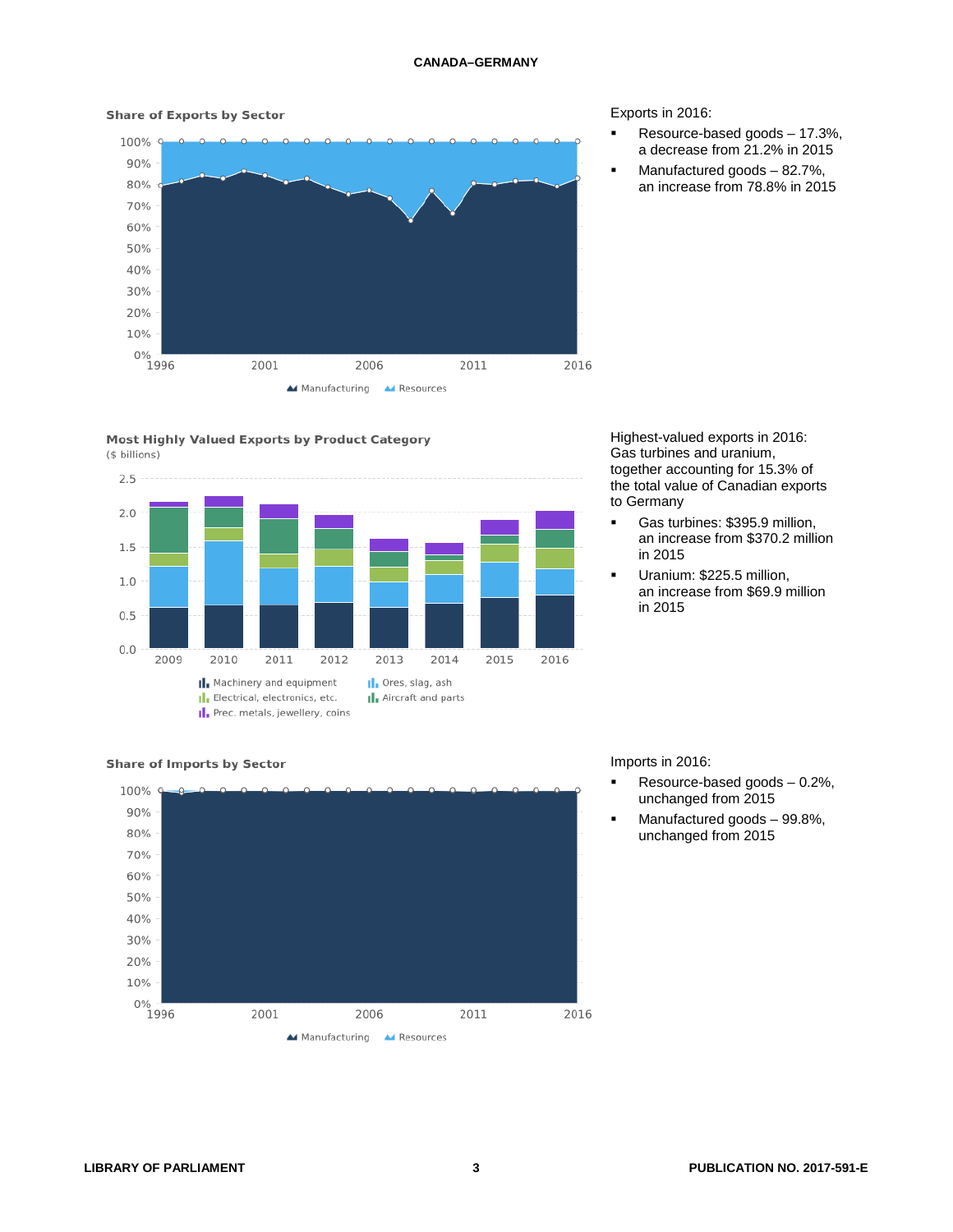#### **Share of Exports by Sector**



#### Most Highly Valued Exports by Product Category (\$ billions)



#### Exports in 2016:

- Resource-based goods 17.3%, a decrease from 21.2% in 2015
- Manufactured goods 82.7%, an increase from 78.8% in 2015

#### Highest-valued exports in 2016: Gas turbines and uranium, together accounting for 15.3% of the total value of Canadian exports to Germany

- Gas turbines: \$395.9 million, an increase from \$370.2 million in 2015
- Uranium: \$225.5 million, an increase from \$69.9 million in 2015

#### **Share of Imports by Sector**



#### Imports in 2016:

- Resource-based goods 0.2%, unchanged from 2015
- Manufactured goods 99.8%, unchanged from 2015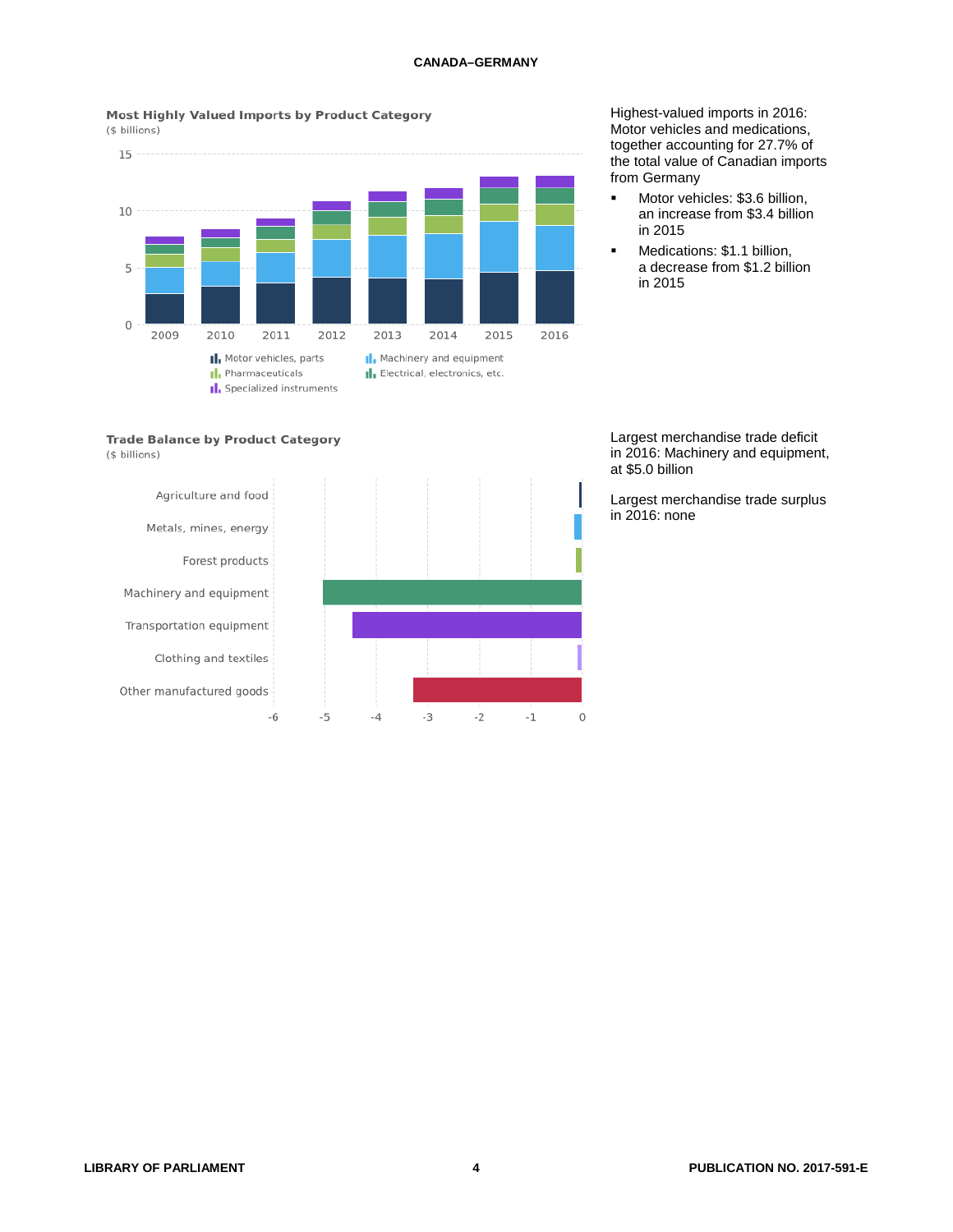Most Highly Valued Imports by Product Category



Highest-valued imports in 2016: Motor vehicles and medications, together accounting for 27.7% of the total value of Canadian imports from Germany

- **Motor vehicles: \$3.6 billion,** an increase from \$3.4 billion in 2015
	- Medications: \$1.1 billion, a decrease from \$1.2 billion in 2015





Largest merchandise trade deficit in 2016: Machinery and equipment, at \$5.0 billion

Largest merchandise trade surplus in 2016: none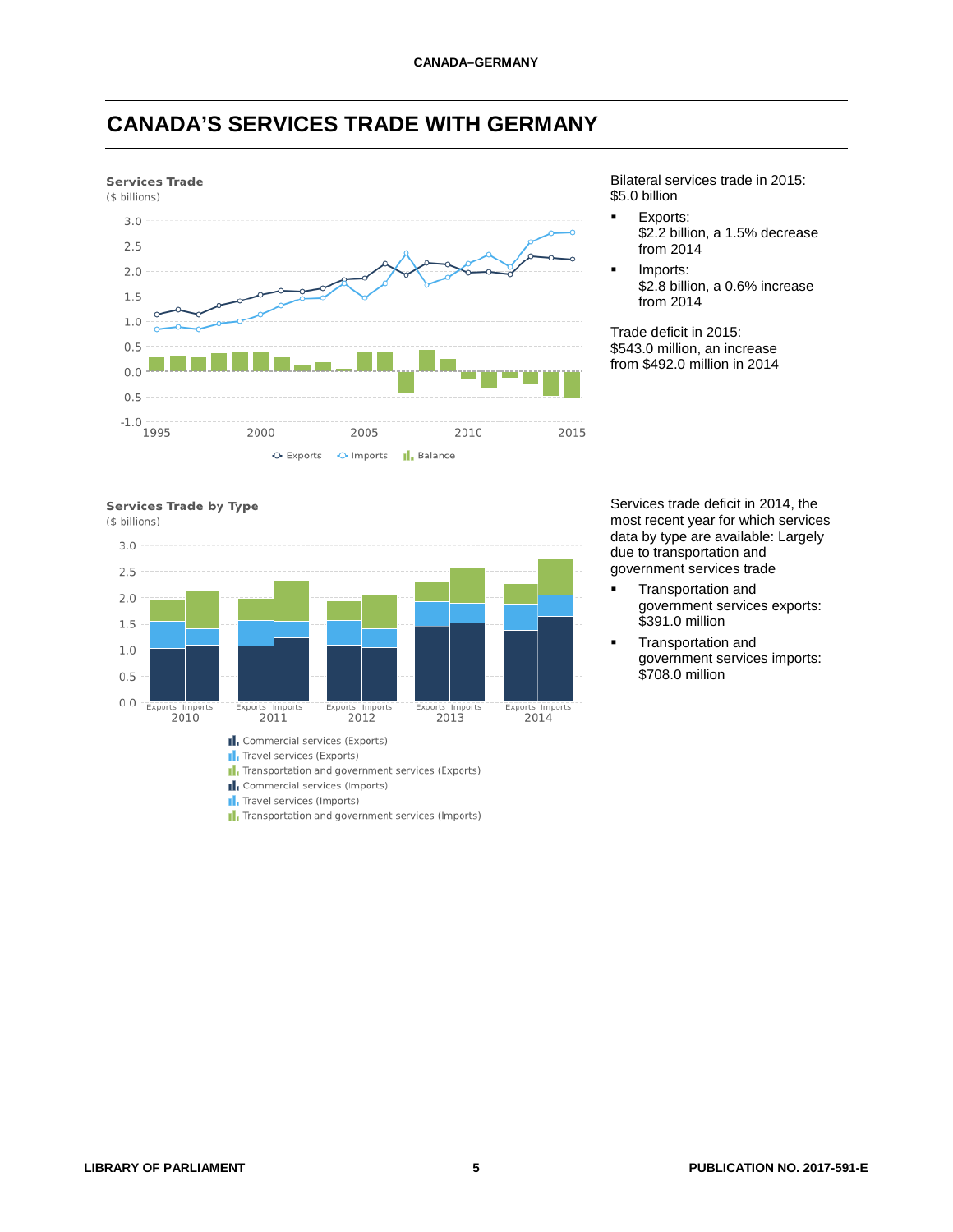



Bilateral services trade in 2015: \$5.0 billion

- **Exports:** \$2.2 billion, a 1.5% decrease from 2014
- Imports: \$2.8 billion, a 0.6% increase from 2014

Trade deficit in 2015: \$543.0 million, an increase from \$492.0 million in 2014



(\$ billions)



- I. Travel services (Imports)
- I. Transportation and government services (Imports)

Services trade deficit in 2014, the most recent year for which services data by type are available: Largely due to transportation and government services trade

- Transportation and government services exports: \$391.0 million
- Transportation and government services imports: \$708.0 million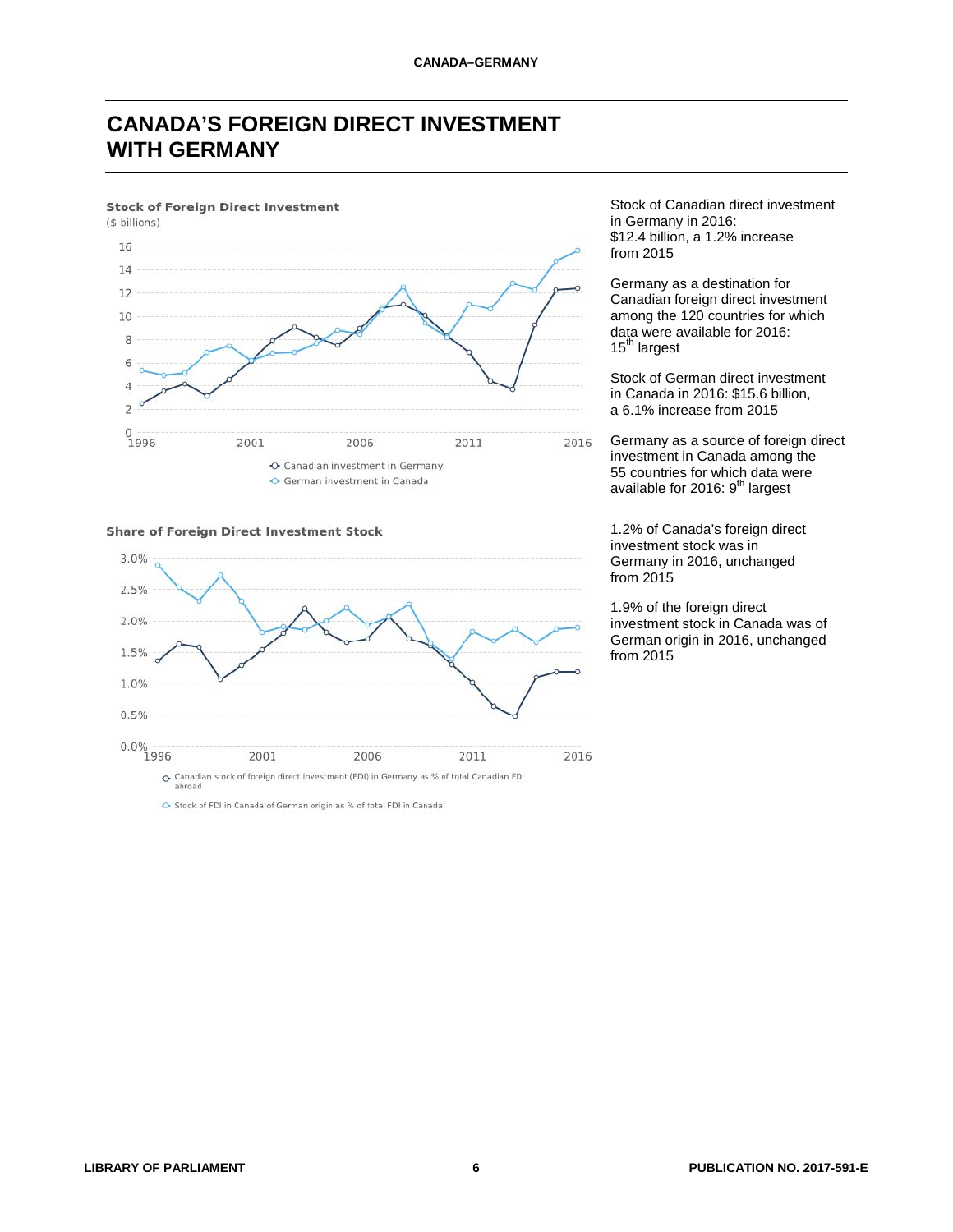## **CANADA'S FOREIGN DIRECT INVESTMENT WITH GERMANY**

#### **Stock of Foreign Direct Investment**



#### **Share of Foreign Direct Investment Stock**



Stock of FDI in Canada of German origin as % of total FDI in Canada

Stock of Canadian direct investment in Germany in 2016: \$12.4 billion, a 1.2% increase from 2015

Germany as a destination for Canadian foreign direct investment among the 120 countries for which data were available for 2016:  $15<sup>th</sup>$  largest

Stock of German direct investment in Canada in 2016: \$15.6 billion, a 6.1% increase from 2015

Germany as a source of foreign direct investment in Canada among the 55 countries for which data were available for 2016:  $9<sup>th</sup>$  largest

1.2% of Canada's foreign direct investment stock was in Germany in 2016, unchanged from  $2015$ 

1.9% of the foreign direct investment stock in Canada was of German origin in 2016, unchanged from 2015